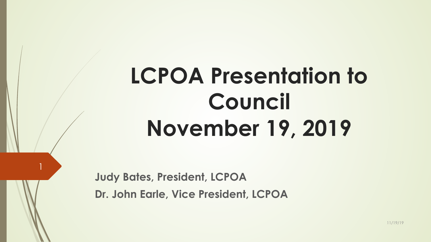# **LCPOA Presentation to Council November 19, 2019**

**Judy Bates, President, LCPOA** 

1

**Dr. John Earle, Vice President, LCPOA**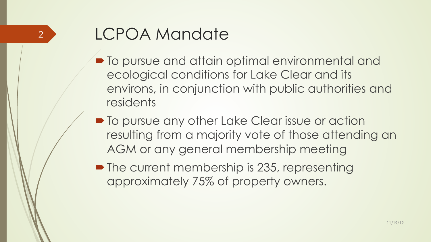### LCPOA Mandate

2

- $\blacksquare$  To pursue and attain optimal environmental and ecological conditions for Lake Clear and its environs, in conjunction with public authorities and residents
- $\blacksquare$  To pursue any other Lake Clear issue or action resulting from a majority vote of those attending an AGM or any general membership meeting
- $\blacksquare$  The current membership is 235, representing approximately 75% of property owners.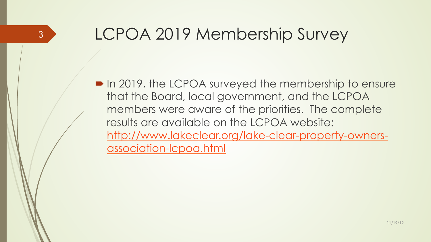### LCPOA 2019 Membership Survey

3

• In 2019, the LCPOA surveyed the membership to ensure that the Board, local government, and the LCPOA members were aware of the priorities. The complete results are available on the LCPOA website: http://www.lakeclear.org/lake-clear-property-ownersassociation-lcpoa.html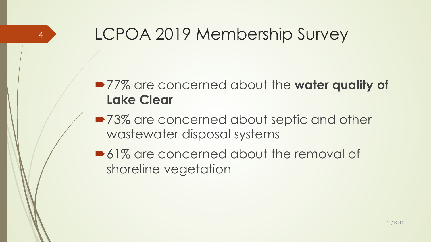### LCPOA 2019 Membership Survey

4

#### ■77% are concerned about the water quality of **Lake Clear**

- ■73% are concerned about septic and other wastewater disposal systems
- $\triangleright$  61% are concerned about the removal of shoreline vegetation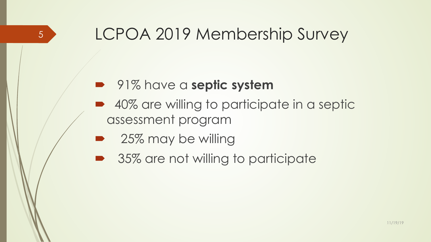### LCPOA 2019 Membership Survey

#### **•** 91% have a **septic system**

- ´ 40% are willing to participate in a septic assessment program
- 25% may be willing

5

35% are not willing to participate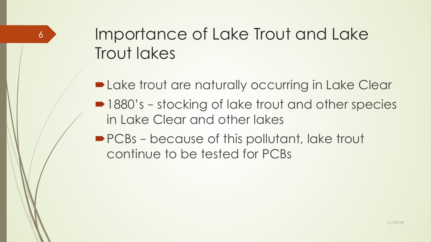### Importance of Lake Trout and Lake Trout lakes

6

- **-Lake trout are naturally occurring in Lake Clear**
- 1880's stocking of lake trout and other species in Lake Clear and other lakes
- PCBs because of this pollutant, lake trout continue to be tested for PCBs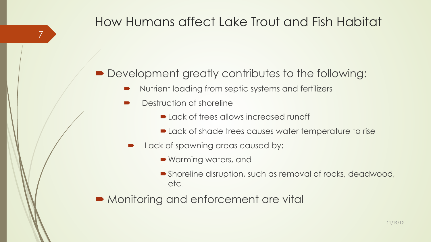#### How Humans affect Lake Trout and Fish Habitat

#### $\blacksquare$  Development greatly contributes to the following:

- Nutrient loading from septic systems and fertilizers
- Destruction of shoreline

7

- $\blacksquare$  Lack of trees allows increased runoff
- Lack of shade trees causes water temperature to rise
- Lack of spawning areas caused by:
	- Warming waters, and
	- Shoreline disruption, such as removal of rocks, deadwood, etc.

• Monitoring and enforcement are vital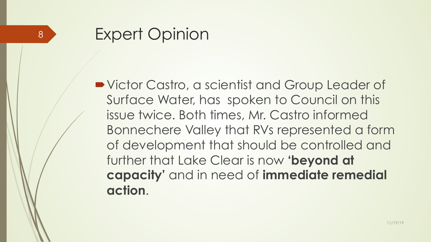8

■ Victor Castro, a scientist and Group Leader of Surface Water, has spoken to Council on this issue twice. Both times, Mr. Castro informed Bonnechere Valley that RVs represented a form of development that should be controlled and further that Lake Clear is now **'beyond at capacity'** and in need of **immediate remedial action**.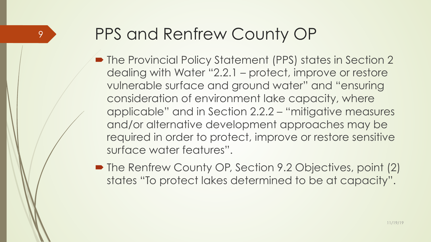#### 9

### PPS and Renfrew County OP

- The Provincial Policy Statement (PPS) states in Section 2 dealing with Water "2.2.1 – protect, improve or restore vulnerable surface and ground water" and "ensuring consideration of environment lake capacity, where applicable" and in Section 2.2.2 – "mitigative measures and/or alternative development approaches may be required in order to protect, improve or restore sensitive surface water features".
- The Renfrew County OP, Section 9.2 Objectives, point (2) states "To protect lakes determined to be at capacity".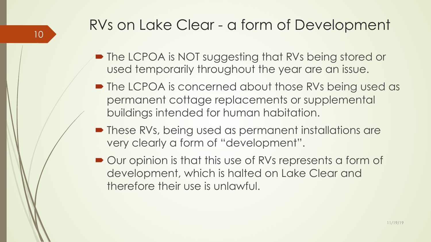### RVs on Lake Clear - a form of Development

- The LCPOA is NOT suggesting that RVs being stored or used temporarily throughout the year are an issue.
- The LCPOA is concerned about those RVs being used as permanent cottage replacements or supplemental buildings intended for human habitation.
- These RVs, being used as permanent installations are very clearly a form of "development".
- $\rightarrow$  Our opinion is that this use of RVs represents a form of development, which is halted on Lake Clear and therefore their use is unlawful.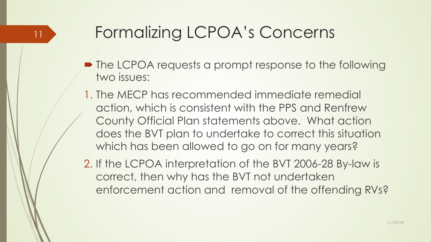## Formalizing LCPOA's Concerns

11

- $\blacktriangleright$  The LCPOA requests a prompt response to the following two issues:
- 1. The MECP has recommended immediate remedial action, which is consistent with the PPS and Renfrew County Official Plan statements above. What action does the BVT plan to undertake to correct this situation which has been allowed to go on for many years?
- 2. If the LCPOA interpretation of the BVT 2006-28 By-law is correct, then why has the BVT not undertaken enforcement action and removal of the offending RVs?